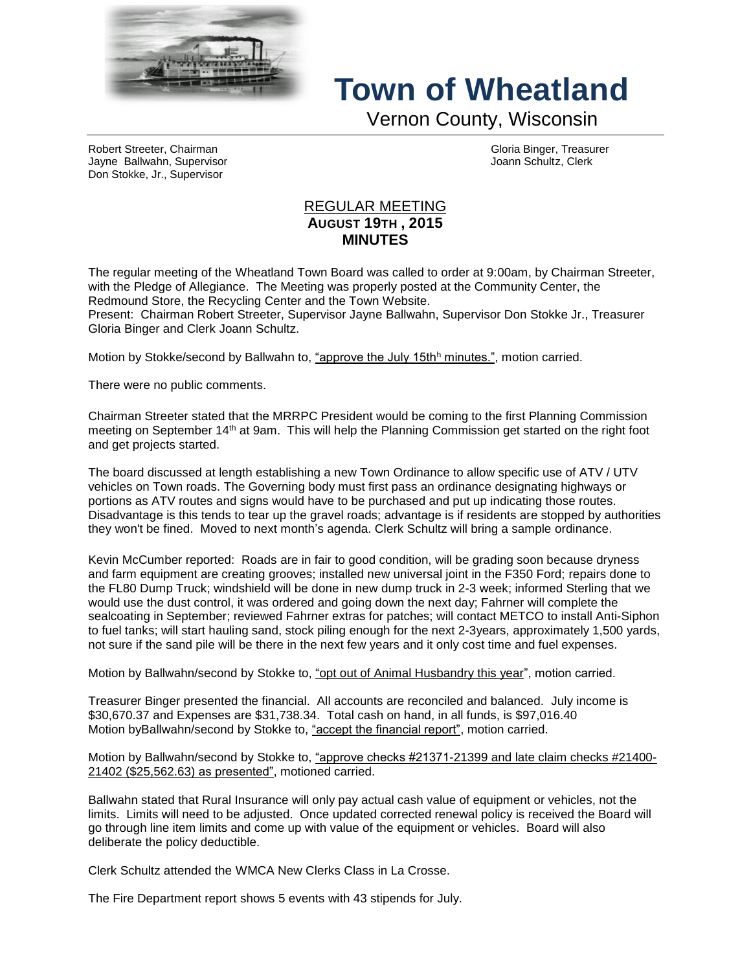

## **Town of Wheatland**

Vernon County, Wisconsin

Robert Streeter, Chairman Gloria Binger, Treasurer Jayne Ballwahn, Supervisor Joann Schultz, Clerk Don Stokke, Jr., Supervisor

## REGULAR MEETING **AUGUST 19TH , 2015 MINUTES**

The regular meeting of the Wheatland Town Board was called to order at 9:00am, by Chairman Streeter, with the Pledge of Allegiance. The Meeting was properly posted at the Community Center, the Redmound Store, the Recycling Center and the Town Website.

Present: Chairman Robert Streeter, Supervisor Jayne Ballwahn, Supervisor Don Stokke Jr., Treasurer Gloria Binger and Clerk Joann Schultz.

Motion by Stokke/second by Ballwahn to, "approve the July 15th<sup>h</sup> minutes.", motion carried.

There were no public comments.

Chairman Streeter stated that the MRRPC President would be coming to the first Planning Commission meeting on September 14th at 9am. This will help the Planning Commission get started on the right foot and get projects started.

The board discussed at length establishing a new Town Ordinance to allow specific use of ATV / UTV vehicles on Town roads. The Governing body must first pass an ordinance designating highways or portions as ATV routes and signs would have to be purchased and put up indicating those routes. Disadvantage is this tends to tear up the gravel roads; advantage is if residents are stopped by authorities they won't be fined. Moved to next month's agenda. Clerk Schultz will bring a sample ordinance.

Kevin McCumber reported: Roads are in fair to good condition, will be grading soon because dryness and farm equipment are creating grooves; installed new universal joint in the F350 Ford; repairs done to the FL80 Dump Truck; windshield will be done in new dump truck in 2-3 week; informed Sterling that we would use the dust control, it was ordered and going down the next day; Fahrner will complete the sealcoating in September; reviewed Fahrner extras for patches; will contact METCO to install Anti-Siphon to fuel tanks; will start hauling sand, stock piling enough for the next 2-3years, approximately 1,500 yards, not sure if the sand pile will be there in the next few years and it only cost time and fuel expenses.

Motion by Ballwahn/second by Stokke to, "opt out of Animal Husbandry this year", motion carried.

Treasurer Binger presented the financial. All accounts are reconciled and balanced. July income is \$30,670.37 and Expenses are \$31,738.34. Total cash on hand, in all funds, is \$97,016.40 Motion byBallwahn/second by Stokke to, "accept the financial report", motion carried.

Motion by Ballwahn/second by Stokke to, "approve checks #21371-21399 and late claim checks #21400- 21402 (\$25,562.63) as presented", motioned carried.

Ballwahn stated that Rural Insurance will only pay actual cash value of equipment or vehicles, not the limits. Limits will need to be adjusted. Once updated corrected renewal policy is received the Board will go through line item limits and come up with value of the equipment or vehicles. Board will also deliberate the policy deductible.

Clerk Schultz attended the WMCA New Clerks Class in La Crosse.

The Fire Department report shows 5 events with 43 stipends for July.